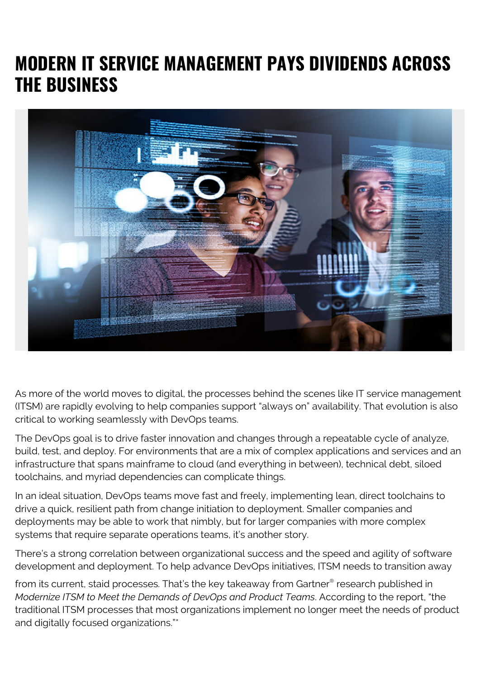## **MODERN IT SERVICE MANAGEMENT PAYS DIVIDENDS ACROSS THE BUSINESS**



As more of the world moves to digital, the processes behind the scenes like IT service management (ITSM) are rapidly evolving to help companies support "always on" availability. That evolution is also critical to working seamlessly with DevOps teams.

The DevOps goal is to drive faster innovation and changes through a repeatable cycle of analyze, build, test, and deploy. For environments that are a mix of complex applications and services and an infrastructure that spans mainframe to cloud (and everything in between), technical debt, siloed toolchains, and myriad dependencies can complicate things.

In an ideal situation, DevOps teams move fast and freely, implementing lean, direct toolchains to drive a quick, resilient path from change initiation to deployment. Smaller companies and deployments may be able to work that nimbly, but for larger companies with more complex systems that require separate operations teams, it's another story.

There's a strong correlation between organizational success and the speed and agility of software development and deployment. To help advance DevOps initiatives, ITSM needs to transition away

from its current, staid processes. That's the key takeaway from Gartner® research published in *Modernize ITSM to Meet the Demands of DevOps and Product Teams*. According to the report, "the traditional ITSM processes that most organizations implement no longer meet the needs of product and digitally focused organizations."\*